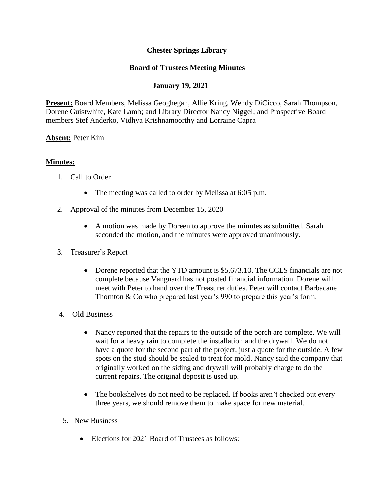## **Chester Springs Library**

### **Board of Trustees Meeting Minutes**

## **January 19, 2021**

**Present:** Board Members, Melissa Geoghegan, Allie Kring, Wendy DiCicco, Sarah Thompson, Dorene Guistwhite, Kate Lamb; and Library Director Nancy Niggel; and Prospective Board members Stef Anderko, Vidhya Krishnamoorthy and Lorraine Capra

#### **Absent:** Peter Kim

#### **Minutes:**

- 1. Call to Order
	- The meeting was called to order by Melissa at 6:05 p.m.
- 2. Approval of the minutes from December 15, 2020
	- A motion was made by Doreen to approve the minutes as submitted. Sarah seconded the motion, and the minutes were approved unanimously.
- 3. Treasurer's Report
	- Dorene reported that the YTD amount is \$5,673.10. The CCLS financials are not complete because Vanguard has not posted financial information. Dorene will meet with Peter to hand over the Treasurer duties. Peter will contact Barbacane Thornton & Co who prepared last year's 990 to prepare this year's form.
- 4. Old Business
	- Nancy reported that the repairs to the outside of the porch are complete. We will wait for a heavy rain to complete the installation and the drywall. We do not have a quote for the second part of the project, just a quote for the outside. A few spots on the stud should be sealed to treat for mold. Nancy said the company that originally worked on the siding and drywall will probably charge to do the current repairs. The original deposit is used up.
	- The bookshelves do not need to be replaced. If books aren't checked out every three years, we should remove them to make space for new material.
	- 5. New Business
		- Elections for 2021 Board of Trustees as follows: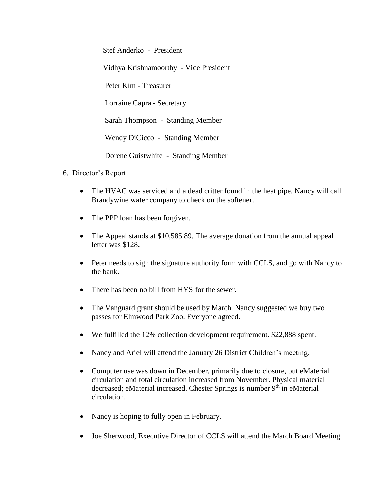Stef Anderko - President Vidhya Krishnamoorthy - Vice President Peter Kim - Treasurer Lorraine Capra - Secretary Sarah Thompson - Standing Member Wendy DiCicco - Standing Member Dorene Guistwhite - Standing Member

- 6. Director's Report
	- The HVAC was serviced and a dead critter found in the heat pipe. Nancy will call Brandywine water company to check on the softener.
	- The PPP loan has been forgiven.
	- The Appeal stands at \$10,585.89. The average donation from the annual appeal letter was \$128.
	- Peter needs to sign the signature authority form with CCLS, and go with Nancy to the bank.
	- There has been no bill from HYS for the sewer.
	- The Vanguard grant should be used by March. Nancy suggested we buy two passes for Elmwood Park Zoo. Everyone agreed.
	- We fulfilled the 12% collection development requirement. \$22,888 spent.
	- Nancy and Ariel will attend the January 26 District Children's meeting.
	- Computer use was down in December, primarily due to closure, but eMaterial circulation and total circulation increased from November. Physical material decreased; eMaterial increased. Chester Springs is number 9<sup>th</sup> in eMaterial circulation.
	- Nancy is hoping to fully open in February.
	- Joe Sherwood, Executive Director of CCLS will attend the March Board Meeting